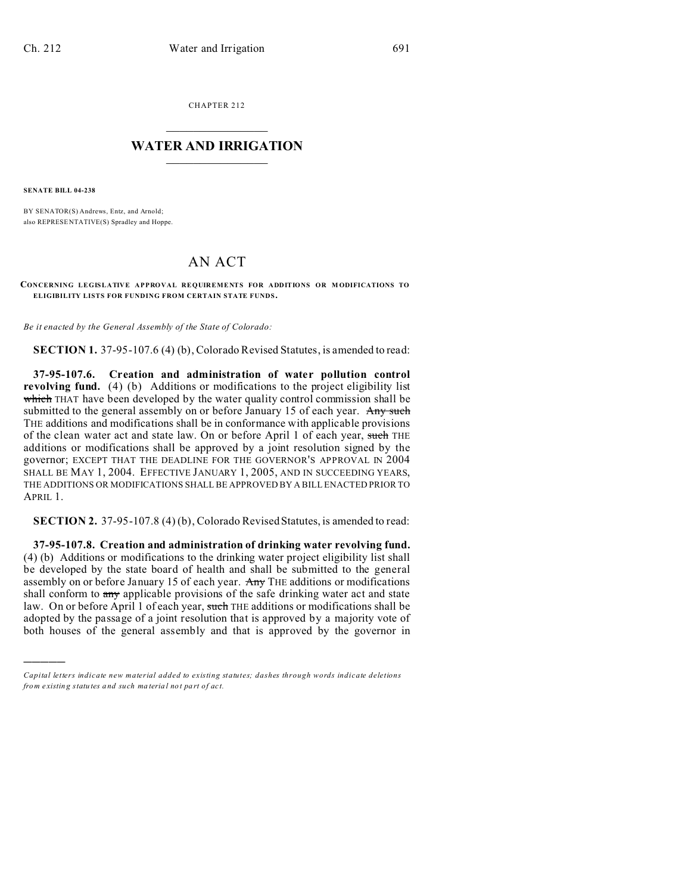CHAPTER 212  $\overline{\phantom{a}}$  , where  $\overline{\phantom{a}}$ 

## **WATER AND IRRIGATION**  $\_$   $\_$   $\_$   $\_$   $\_$   $\_$   $\_$   $\_$   $\_$

**SENATE BILL 04-238**

)))))

BY SENATOR(S) Andrews, Entz, and Arnold; also REPRESE NTATIVE(S) Spradley and Hoppe.

## AN ACT

**CONCERNING LEGISLATIVE APPROVAL REQUIREMENTS FOR ADDITIONS OR M ODIFICATIONS TO ELIGIBILITY LISTS FOR FUNDING FROM CERTAIN STATE FUNDS.**

*Be it enacted by the General Assembly of the State of Colorado:*

**SECTION 1.** 37-95-107.6 (4) (b), Colorado Revised Statutes, is amended to read:

**37-95-107.6. Creation and administration of water pollution control revolving fund.** (4) (b) Additions or modifications to the project eligibility list which THAT have been developed by the water quality control commission shall be submitted to the general assembly on or before January 15 of each year. Any such THE additions and modifications shall be in conformance with applicable provisions of the clean water act and state law. On or before April 1 of each year, such THE additions or modifications shall be approved by a joint resolution signed by the governor; EXCEPT THAT THE DEADLINE FOR THE GOVERNOR'S APPROVAL IN 2004 SHALL BE MAY 1, 2004. EFFECTIVE JANUARY 1, 2005, AND IN SUCCEEDING YEARS, THE ADDITIONS OR MODIFICATIONS SHALL BE APPROVED BY A BILL ENACTED PRIOR TO APRIL 1.

**SECTION 2.** 37-95-107.8 (4) (b), Colorado Revised Statutes, is amended to read:

**37-95-107.8. Creation and administration of drinking water revolving fund.** (4) (b) Additions or modifications to the drinking water project eligibility list shall be developed by the state board of health and shall be submitted to the general assembly on or before January 15 of each year. Any THE additions or modifications shall conform to  $\frac{any}{any}$  applicable provisions of the safe drinking water act and state law. On or before April 1 of each year, such THE additions or modifications shall be adopted by the passage of a joint resolution that is approved by a majority vote of both houses of the general assembly and that is approved by the governor in

*Capital letters indicate new material added to existing statutes; dashes through words indicate deletions from e xistin g statu tes a nd such ma teria l no t pa rt of ac t.*